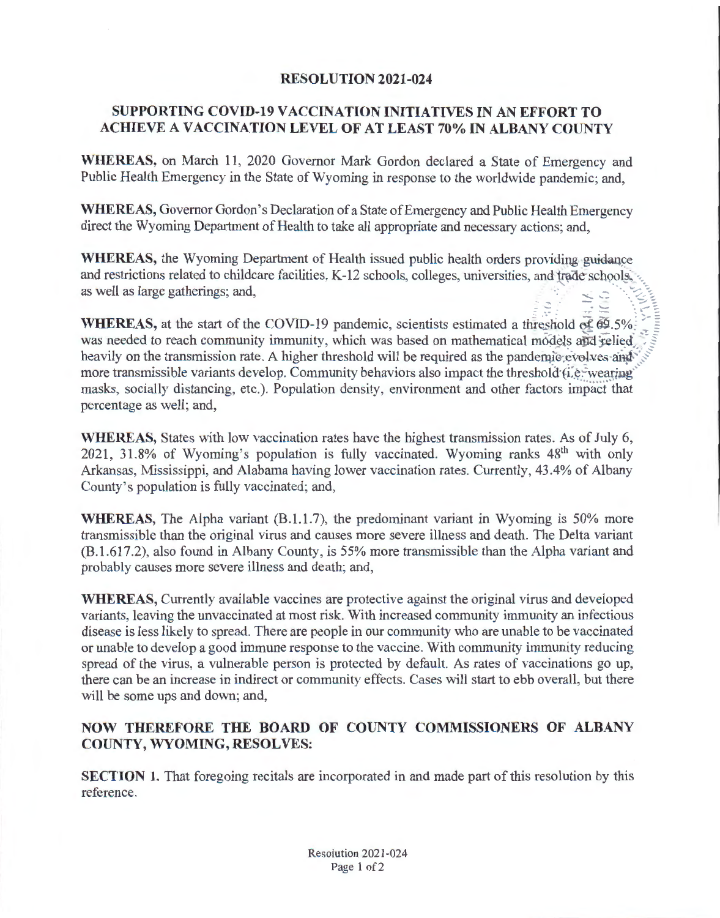## **RESOLUTION 2021-024**

## **SUPPORTING COVID-19 VACCINATION INITIATIVES IN AN EFFORT TO ACHIEVE A VACCINATION LEVEL OF AT LEAST 70% IN ALBANY COUNTY**

WHEREAS, on March 11, 2020 Governor Mark Gordon declared a State of Emergency and Public Health Emergency in the State of Wyoming in response to the worldwide pandemic; and,

**WHEREAS,** Governor Gordon's Declaration of a State of Emergency and Public Health Emergency direct the Wyoming Department of Health to take all appropriate and necessary actions; and,

**WHEREAS,** the Wyoming Department of Health issued public health orders providing guidance and restrictions related to childcare facilities, K-12 schools, colleges, universities, and trade schools, as well as large gatherings; and,  $\Xi\Xi$  .  $\Xi$ 

**WHEREAS, at the start of the COVID-19 pandemic, scientists estimated a threshold of 69.5%**. was needed to reach community immunity, which was based on mathematical models and relied heavily on the transmission rate. A higher threshold will be required as the pandemic-evolves and more transmissible variants develop. Community behaviors also impact the threshold (i.e. wearing masks, socially distancing, etc.). Population density, environment and other factors impact that percentage as well; and,

**WHEREAS,** States with low vaccination rates have the highest transmission rates. As of July 6, 2021, 31.8% of Wyoming's population is fully vaccinated. Wyoming ranks 48<sup>th</sup> with only Arkansas, Mississippi, and Alabama having lower vaccination rates. Currently, 43.4% of Albany County's population is fully vaccinated; and,

**WHEREAS,** The Alpha variant (B.1.1.7), the predominant variant in Wyoming is 50% more transmissible than the original virus and causes more severe illness and death. The Delta variant (B.l.617.2), also found in Albany County, is 55% more transmissible than the Alpha variant and probably causes more severe illness and death; and,

**WHEREAS,** Currently available vaccines are protective against the original virus and developed variants, leaving the unvaccinated at most risk. With increased community immunity an infectious disease is less likely to spread. There are people in our community who are unable to be vaccinated or unable to develop a good immune response to the vaccine. With community immunity reducing spread of the virus, a vulnerable person is protected by default. As rates of vaccinations go up, there can be an increase in indirect or community effects. Cases will start to ebb overall, but there will be some ups and down; and,

## **NOW THEREFORE THE BOARD OF COUNTY COMMISSIONERS OF ALBANY COUNTY, WYOMING, RESOLVES:**

**SECTION 1.** That foregoing recitals are incorporated in and made part of this resolution by this reference.